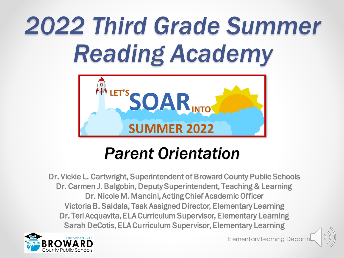## *2022 Third Grade Summer Reading Academy*



#### *Parent Orientation*

Dr. Vickie L. Cartwright, Superintendent of Broward County Public Schools Dr. Carmen J. Balgobin, Deputy Superintendent, Teaching & Learning Dr. Nicole M. Mancini, Acting Chief Academic Officer Victoria B. Saldala, Task Assigned Director, Elementary Learning Dr. Teri Acquavita, ELA Curriculum Supervisor, Elementary Learning Sarah DeCotis, ELA Curriculum Supervisor, Elementary Learning



Elementary Learning Depart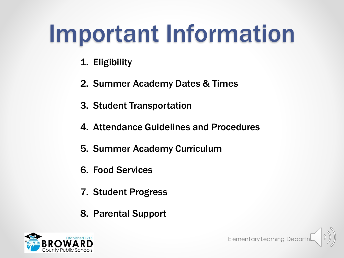#### Important Information

- 1. Eligibility
- 2. Summer Academy Dates & Times
- 3. Student Transportation
- 4. Attendance Guidelines and Procedures
- 5. Summer Academy Curriculum
- 6. Food Services
- 7. Student Progress
- 8. Parental Support

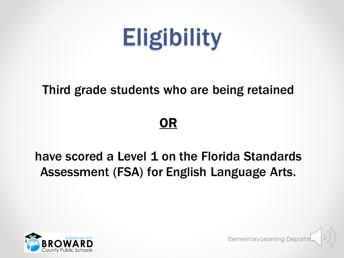

#### Third grade students who are being retained

#### OR

#### have scored a Level 1 on the Florida Standards Assessment (FSA) for English Language Arts.



Elementary Learning Depart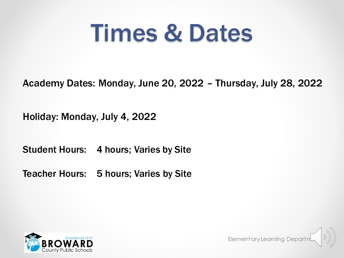#### Times & Dates

Academy Dates: Monday, June 20, 2022 – Thursday, July 28, 2022

Elementary Learning Departm

Holiday: Monday, July 4, 2022

Student Hours: 4 hours; Varies by Site

Teacher Hours: 5 hours; Varies by Site

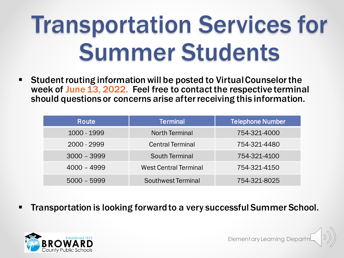## Transportation Services for Summer Students

■ Student routing information will be posted to Virtual Counselor the week of June 13, 2022. Feel free to contact the respective terminal should questions or concerns arise after receiving this information.

| Route         | <b>Terminal</b>              | <b>Telephone Number</b> |
|---------------|------------------------------|-------------------------|
| 1000 - 1999   | <b>North Terminal</b>        | 754-321-4000            |
| 2000 - 2999   | <b>Central Terminal</b>      | 754-321-4480            |
| $3000 - 3999$ | <b>South Terminal</b>        | 754-321-4100            |
| $4000 - 4999$ | <b>West Central Terminal</b> | 754-321-4150            |
| $5000 - 5999$ | Southwest Terminal           | 754-321-8025            |

Transportation is looking forward to a very successful Summer School.

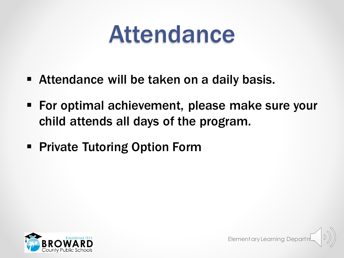#### Attendance

- **EXTED Attendance will be taken on a daily basis.**
- For optimal achievement, please make sure your child attends all days of the program.
- **Private Tutoring Option Form**



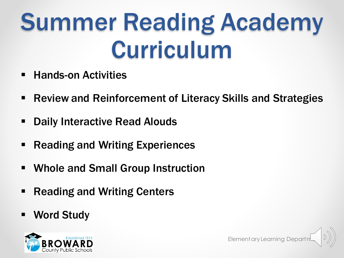## Summer Reading Academy Curriculum

- **Hands-on Activities**
- Review and Reinforcement of Literacy Skills and Strategies
- **Daily Interactive Read Alouds**
- **Reading and Writing Experiences**
- **Whole and Small Group Instruction**
- **Reading and Writing Centers**
- Word Study

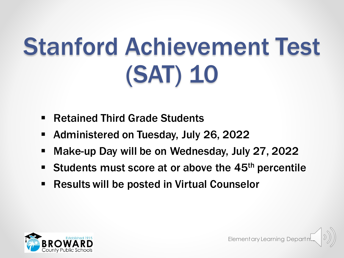## Stanford Achievement Test (SAT) 10

- **Retained Third Grade Students**
- Administered on Tuesday, July 26, 2022
- Make-up Day will be on Wednesday, July 27, 2022
- Students must score at or above the 45<sup>th</sup> percentile
- **Results will be posted in Virtual Counselor**

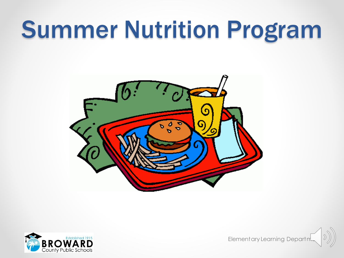#### Summer Nutrition Program





Elementary Learning Departn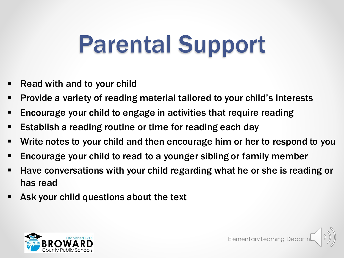### Parental Support

- Read with and to your child
- Provide a variety of reading material tailored to your child's interests
- **Encourage your child to engage in activities that require reading**
- Establish a reading routine or time for reading each day
- Write notes to your child and then encourage him or her to respond to you
- Encourage your child to read to a younger sibling or family member
- Have conversations with your child regarding what he or she is reading or has read
- Ask your child questions about the text